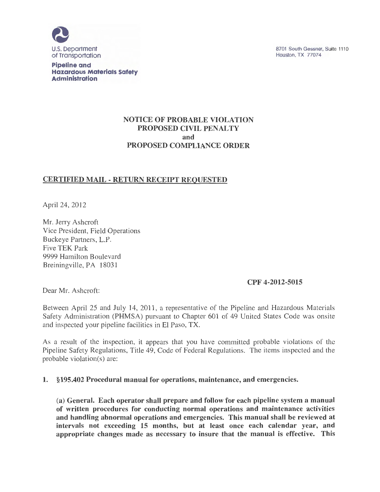

**Pipeline and Hazardous Materials Safety Administration** 

## NOTICE OF PROBABLE VIOLATION PROPOSED CIVIL PENALTY and PROPOSED COMPLIANCE ORDER

# CERTIFIED MAIL - RETURN RECEIPT REQUESTED

April 24, 2012

Mr. Jerry Ashcroft Vice President, Field Operations Buckeye Partners, L.P. Five TEK Park 9999 Hamilton Boulevard Breiningville, PA 18031

### CPF 4-2012-5015

Dear Mr. Ashcroft:

Between April 25 and July 14, 2011, a representative of the Pipeline and Hazardous Materials Safety Administration (PHMSA) pursuant to Chapter 601 of 49 United States Code was onsite and inspected your pipeline facilities in El Paso, TX.

As a result of the inspection, it appears that you have committed probable violations of the Pipeline Safety Regulations, Title 49, Code of Federal Regulations. The items inspected and the probable violation(s) are:

1. §195.402 Procedural manual for operations, maintenance, and emergencies.

(a) General. Each operator shall prepare and follow for each pipeline system a manual of written procedures for conducting normal operations and maintenance activities and handling abnormal operations and emergencies. This manual shall be reviewed at intervals not exceeding 15 months, but at least once each calendar year, and appropriate changes made as necessary to insure that the manual is effective. This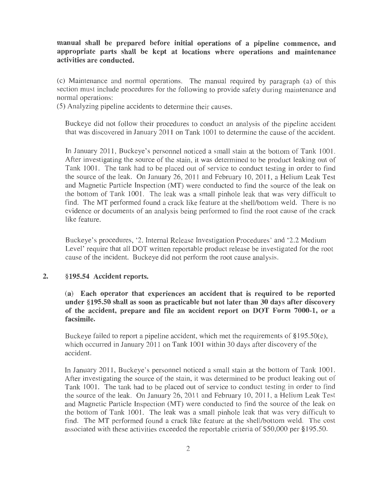manual shall be prepared before initial operations of a pipeline commence, and appropriate parts shall be kept at locations where operations and maintenance activities are conducted.

(c) Maintenance and normal operations. The manual required by paragraph (a) of this section must include procedures for the following to provide safety during maintenance and normal operations:

(5) Analyzing pipeline accidents to determine their causes.

Buckeye did not follow their procedures to conduct an analysis of the pipeline accident that was discovered in January 2011 on Tank 1001 to determine the cause of the accident.

In January 2011, Buckeye's personnel noticed a small stain at the bottom of Tank 1001. After investigating the source of the stain, it was determined to be product leaking out of Tank 1001. The tank had to be placed out of service to conduct testing in order to find the source of the leak. On January  $26$ ,  $2011$  and February 10,  $2011$ , a Helium Leak Test and Magnetic Particle Inspection (MT) were conducted to find the source of the leak on the bottom of Tank 1001. The leak was a small pinhole leak that was very difficult to find. The MT performed found a crack like feature at the shell/bottom weld. There is no evidence or documents of an analysis being performed to find the root cause of the crack like feature.

Buckeye's procedures, '2. Internal Release Investigation Procedures' and '2.2 Medium Level' require that all DOT written reportable product release be investigated for the root cause of the incident. Buckeye did not perform the root cause analysis.

#### 2. § 195.54 Accident reports.

(a) Each operator that experiences an accident that is required to be reported under § 195.50 shall as soon as practicable but not later than 30 days after discovery of the accident, prepare and file an accident report on DOT Form 7000-1, or a facsimile.

Buckeye failed to report a pipeline accident, which met the requirements of  $\S 195.50(e)$ , which occurred in January 2011 on Tank 1001 within 30 days after discovery of the accident.

In January 2011, Buckeye's personnel noticed a small stain at the bottom of Tank 1001. After investigating the source of the stain, it was determined to be product leaking out of Tank 1001. The tank had to be placed out of service to conduct testing in order to find the source of the leak. On January 26, 2011 and February 10, 2011 , a Helium Leak Test and Magnetic Particle Inspection (MT) were conducted to find the source of the leak on the bottom of Tank 1001. The leak was a small pinhole leak that was very difficult to find. The MT performed found a crack like feature at the shell/bottom weld. The cost associated with these activities exceeded the reportable criteria of \$50,000 per §195.50.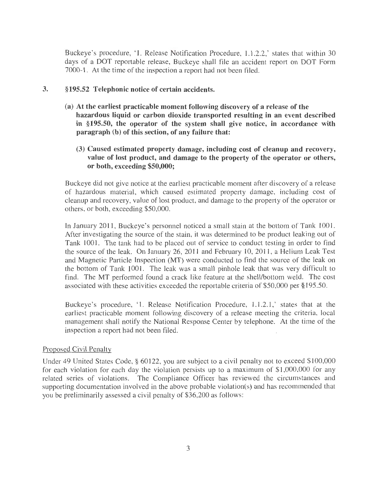Buckeye's procedure, **'1.** Release Notification Procedure, 1.1.2.2,' states that within 30 days of a DOT reportable release, Buckeye shall file an accident report on DOT Form 7000-1. At the time of the inspection a report had not been filed.

## **3. §195.52 Telephonic notice of certain accidents.**

- **(a) At the earliest practicable moment following discovery of a release of the hazardous liquid or carbon dioxide transported resulting in an event described in §195.50, the operator of the system shall give notice, in accordance with paragraph (b) of this section, of any failure that:** 
	- **(3) Caused estimated property damage, including cost of cleanup and recovery, value of lost product, and damage to the property of the operator or others, or both, exceeding \$50,000;**

Buckeye did not give notice at the earliest practicable moment after discovery of a release of hazardous material, which caused estimated property damage, including cost of cleanup and recovery, value of lost product, and damage to the property of the operator or others, or both, exceeding \$50,000.

In January 2011, Buckeye's personnel noticed a small stain at the bottom of Tank 1001. After investigating the source of the stain, it was determined to be product leaking out of Tank 1001. The tank had to be placed out of service to conduct testing in order to find the source of the leak. On January 26, 2011 and February 10, 2011, a Helium Leak Test and Magnetic Particle Inspection (MT) were conducted to find the source of the leak on the bottom of Tank 1001. The leak was a small pinhole leak that was very difficult to find. The MT performed found a crack like feature at the shell/bottom weld. The cost associated with these activities exceeded the reportable criteria of \$50,000 per § 195.50.

Buckeye's procedure, '1. Release Notification Procedure, 1.1.2.1 ,' states that at the earliest practicable moment following discovery of a release meeting the criteria, local management shall notify the National Response Center by telephone. At the time of the inspection a report had not been filed.

### Proposed Civil Penalty

Under 49 United States Code, § 60122, you are subject to a civil penalty not to exceed \$100,000 for each violation for each day the violation persists up to a maximum of \$1,000,000 for any related series of violations. The Compliance Officer has reviewed the circumstances and supporting documentation involved in the above probable violation(s) and has recommended that you be preliminarily assessed a civil penalty of \$36,200 as follows: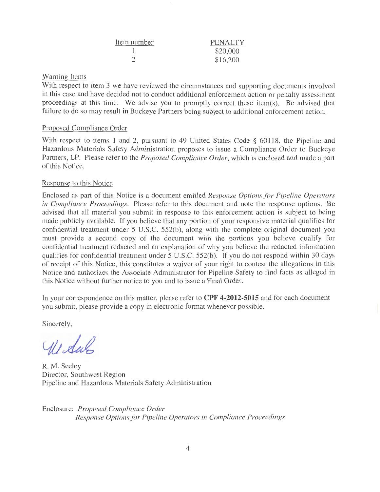| Item number | PENALTY  |
|-------------|----------|
|             | \$20,000 |
|             | \$16,200 |

## Warning Items

With respect to item 3 we have reviewed the circumstances and supporting documents involved in this case and have decided not to conduct additional enforcement action or penalty assessment proceedings at this time. We advise you to promptly conect these item(s). Be advised that failure to do so may result in Buckeye Partners being subject to additional enforcement action.

## Proposed Compliance Order

With respect to items 1 and 2, pursuant to 49 United States Code § 60118, the Pipeline and Hazardous Materials Safety Administration proposes to issue a Compliance Order to Buckeye Partners, LP. Please refer to the *Proposed Compliance Order,* which is enclosed and made a part of this Notice.

## Response to this Notice

Enclosed as part of this Notice is a document entitled *Response Options for Pipeline Operators in Compliance Proceedings.* Please refer to this document and note the response options. Be advised that all material you submit in response to this enforcement action is subject to being made publicly available. If you believe that any portion of your responsive material qualifies for confidential treatment under 5 U.S.C. 552(b), along with the complete original document you must provide a second copy of the document with the portions you believe qualify for confidential treatment redacted and an explanation of why you believe the redacted information qualifies for confidential treatment under 5 U.S.C. 552(b). If you do not respond within 30 days of receipt of this Notice, this constitutes a waiver of your right to contest the allegations in this Notice and authorizes the Associate Administrator for Pipeline Safety to find facts as alleged in this Notice without further notice to you and to issue a Final Order.

In your correspondence on this matter, please refer to **CPF 4-2012-5015** and for each document you submit, please provide a copy in electronic format whenever possible.

Sincerely,

Widas

R. M. Seeley Director, Southwest Region Pipeline and Hazardous Materials Safety Administration

Enclosure: *Proposed Compliance Order Response Optionsfor Pipeline Operators in Compliance Proceedings*